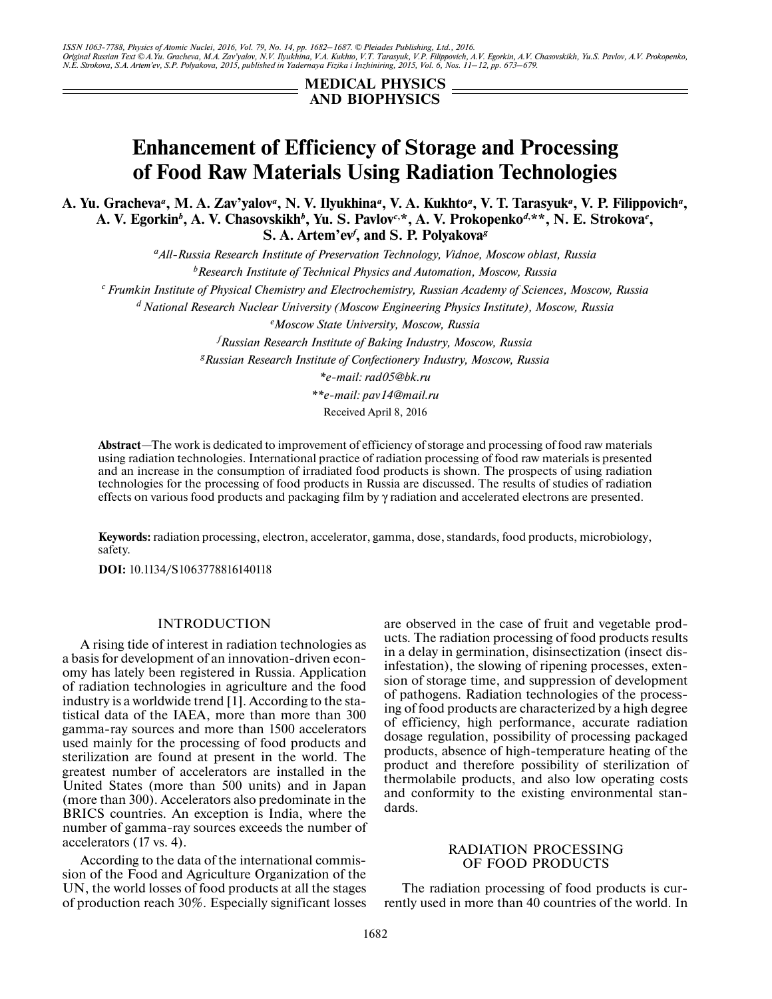*ISSN 1063-7788, Physics of Atomic Nuclei, 2016, Vol. 79, No. 14, pp. 1682–1687. © Pleiades Publishing, Ltd., 2016.* Original Russian Text © A.Yu. Gracheva, M.A. Zav'yalov, N.V. Ilyukhina, V.A. Kukhto, V.T. Tarasyuk, V.P. Filippovich, A.V. Egorkin, A.V. Chasovskikh, Yu.S. Pavlov, A.V. Prokopenko,<br>N.E. Strokova, S.A. Artem'ev, S.P. Polyak

# **MEDICAL PHYSICS AND BIOPHYSICS**

# **Enhancement of Efficiency of Storage and Processing of Food Raw Materials Using Radiation Technologies**

**A. Yu. Gracheva***<sup>a</sup>* **, M. A. Zav'yalov***<sup>a</sup>* **, N. V. Ilyukhina***<sup>a</sup>* **, V. A. Kukhto***<sup>a</sup>* **, V. T. Tarasyuk***a***, V. P. Filippovich***a***, A. V. Egorkin***<sup>b</sup>* **, A. V. Chasovskikh***<sup>b</sup>* **, Yu. S. Pavlov***c***, \*, A. V. Prokopenko***d***, \*\*, N. E. Strokova***<sup>e</sup>* **, S. A. Artem'ev***<sup>f</sup>* **, and S. P. Polyakova***<sup>g</sup>*

> *aAll-Russia Research Institute of Preservation Technology, Vidnoe, Moscow oblast, Russia b Research Institute of Technical Physics and Automation, Moscow, Russia*

*c Frumkin Institute of Physical Chemistry and Electrochemistry, Russian Academy of Sciences, Moscow, Russia*

*d National Research Nuclear University (Moscow Engineering Physics Institute), Moscow, Russia*

*e Moscow State University, Moscow, Russia*

*f Russian Research Institute of Baking Industry, Moscow, Russia*

*g Russian Research Institute of Confectionery Industry, Moscow, Russia*

*\*e-mail: rad05@bk.ru*

*\*\*e-mail: pav14@mail.ru*

Received April 8, 2016

**Abstract**—The work is dedicated to improvement of efficiency of storage and processing of food raw materials using radiation technologies. International practice of radiation processing of food raw materials is presented and an increase in the consumption of irradiated food products is shown. The prospects of using radiation technologies for the processing of food products in Russia are discussed. The results of studies of radiation effects on various food products and packaging film by γ radiation and accelerated electrons are presented.

**Keywords:** radiation processing, electron, accelerator, gamma, dose, standards, food products, microbiology, safety.

**DOI:** 10.1134/S1063778816140118

# INTRODUCTION

A rising tide of interest in radiation technologies as a basis for development of an innovation-driven economy has lately been registered in Russia. Application of radiation technologies in agriculture and the food industry is a worldwide trend [1]. According to the statistical data of the IAEA, more than more than 300 gamma-ray sources and more than 1500 accelerators used mainly for the processing of food products and sterilization are found at present in the world. The greatest number of accelerators are installed in the United States (more than 500 units) and in Japan (more than 300). Accelerators also predominate in the BRICS countries. An exception is India, where the number of gamma-ray sources exceeds the number of accelerators (17 vs. 4).

According to the data of the international commission of the Food and Agriculture Organization of the UN, the world losses of food products at all the stages of production reach 30%. Especially significant losses are observed in the case of fruit and vegetable products. The radiation processing of food products results in a delay in germination, disinsectization (insect disinfestation), the slowing of ripening processes, extension of storage time, and suppression of development of pathogens. Radiation technologies of the processing of food products are characterized by a high degree of efficiency, high performance, accurate radiation dosage regulation, possibility of processing packaged products, absence of high-temperature heating of the product and therefore possibility of sterilization of thermolabile products, and also low operating costs and conformity to the existing environmental standards.

## RADIATION PROCESSING OF FOOD PRODUCTS

The radiation processing of food products is currently used in more than 40 countries of the world. In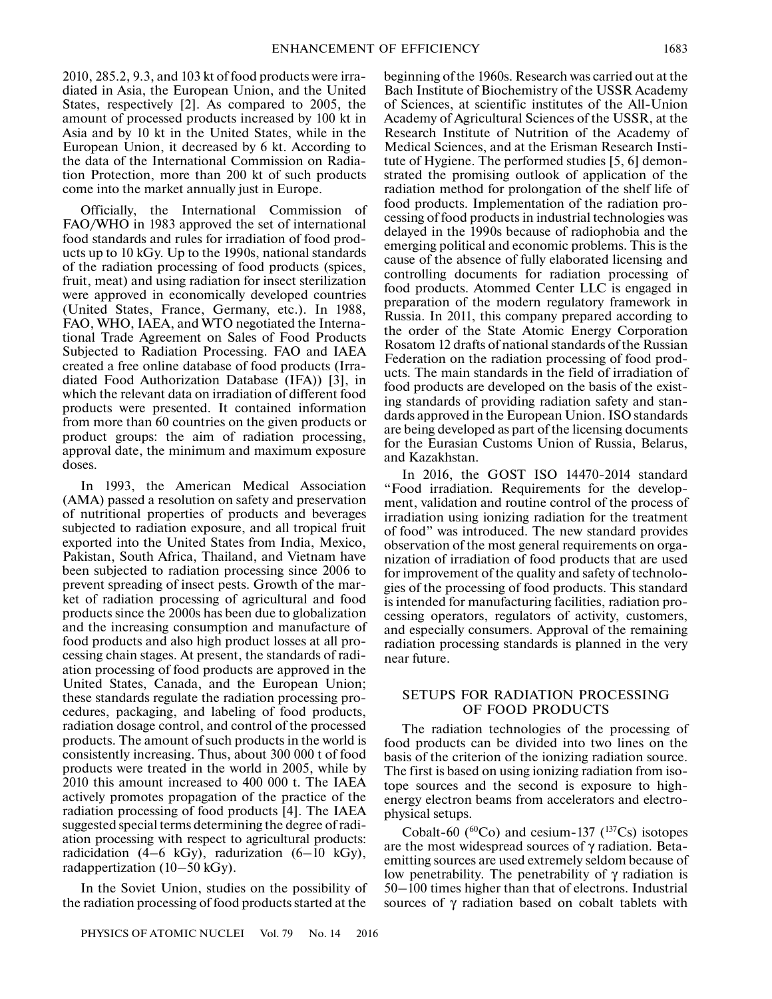2010, 285.2, 9.3, and 103 kt of food products were irradiated in Asia, the European Union, and the United States, respectively [2]. As compared to 2005, the amount of processed products increased by 100 kt in Asia and by 10 kt in the United States, while in the European Union, it decreased by 6 kt. According to the data of the International Commission on Radiation Protection, more than 200 kt of such products come into the market annually just in Europe.

Officially, the International Commission of FAO/WHO in 1983 approved the set of international food standards and rules for irradiation of food products up to 10 kGy. Up to the 1990s, national standards of the radiation processing of food products (spices, fruit, meat) and using radiation for insect sterilization were approved in economically developed countries (United States, France, Germany, etc.). In 1988, FAO, WHO, IAEA, and WTO negotiated the International Trade Agreement on Sales of Food Products Subjected to Radiation Processing. FAO and IAEA created a free online database of food products (Irradiated Food Authorization Database (IFA)) [3], in which the relevant data on irradiation of different food products were presented. It contained information from more than 60 countries on the given products or product groups: the aim of radiation processing, approval date, the minimum and maximum exposure doses.

In 1993, the American Medical Association (AMA) passed a resolution on safety and preservation of nutritional properties of products and beverages subjected to radiation exposure, and all tropical fruit exported into the United States from India, Mexico, Pakistan, South Africa, Thailand, and Vietnam have been subjected to radiation processing since 2006 to prevent spreading of insect pests. Growth of the market of radiation processing of agricultural and food products since the 2000s has been due to globalization and the increasing consumption and manufacture of food products and also high product losses at all processing chain stages. At present, the standards of radiation processing of food products are approved in the United States, Canada, and the European Union; these standards regulate the radiation processing procedures, packaging, and labeling of food products, radiation dosage control, and control of the processed products. The amount of such products in the world is consistently increasing. Thus, about 300 000 t of food products were treated in the world in 2005, while by 2010 this amount increased to 400 000 t. The IAEA actively promotes propagation of the practice of the radiation processing of food products [4]. The IAEA suggested special terms determining the degree of radiation processing with respect to agricultural products: radicidation (4–6 kGy), radurization (6–10 kGy), radappertization (10–50 kGy).

In the Soviet Union, studies on the possibility of the radiation processing of food products started at the beginning of the 1960s. Research was carried out at the Bach Institute of Biochemistry of the USSR Academy of Sciences, at scientific institutes of the All-Union Academy of Agricultural Sciences of the USSR, at the Research Institute of Nutrition of the Academy of Medical Sciences, and at the Erisman Research Institute of Hygiene. The performed studies [5, 6] demonstrated the promising outlook of application of the radiation method for prolongation of the shelf life of food products. Implementation of the radiation processing of food products in industrial technologies was delayed in the 1990s because of radiophobia and the emerging political and economic problems. This is the cause of the absence of fully elaborated licensing and controlling documents for radiation processing of food products. Atommed Center LLC is engaged in preparation of the modern regulatory framework in Russia. In 2011, this company prepared according to the order of the State Atomic Energy Corporation Rosatom 12 drafts of national standards of the Russian Federation on the radiation processing of food products. The main standards in the field of irradiation of food products are developed on the basis of the existing standards of providing radiation safety and standards approved in the European Union. ISO standards are being developed as part of the licensing documents for the Eurasian Customs Union of Russia, Belarus, and Kazakhstan.

In 2016, the GOST ISO 14470-2014 standard "Food irradiation. Requirements for the development, validation and routine control of the process of irradiation using ionizing radiation for the treatment of food" was introduced. The new standard provides observation of the most general requirements on organization of irradiation of food products that are used for improvement of the quality and safety of technologies of the processing of food products. This standard is intended for manufacturing facilities, radiation processing operators, regulators of activity, customers, and especially consumers. Approval of the remaining radiation processing standards is planned in the very near future.

#### SETUPS FOR RADIATION PROCESSING OF FOOD PRODUCTS

The radiation technologies of the processing of food products can be divided into two lines on the basis of the criterion of the ionizing radiation source. The first is based on using ionizing radiation from isotope sources and the second is exposure to highenergy electron beams from accelerators and electrophysical setups.

Cobalt-60 ( ${}^{60}Co$ ) and cesium-137 ( ${}^{137}Cs$ ) isotopes are the most widespread sources of γ radiation. Betaemitting sources are used extremely seldom because of low penetrability. The penetrability of  $γ$  radiation is 50–100 times higher than that of electrons. Industrial sources of  $\gamma$  radiation based on cobalt tablets with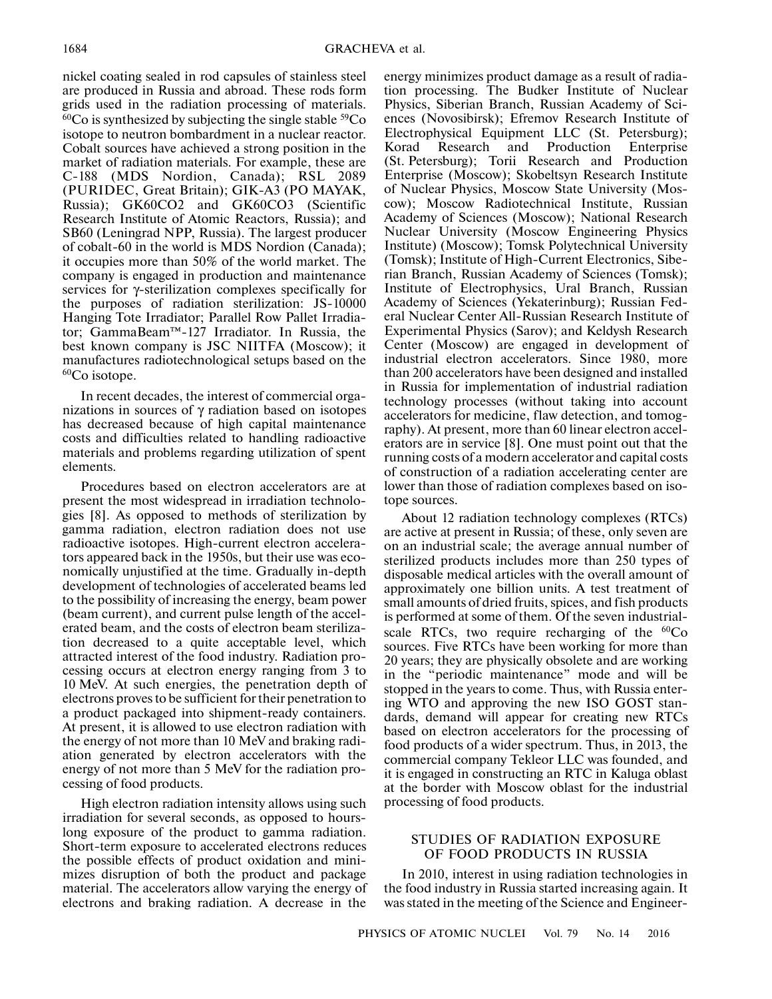nickel coating sealed in rod capsules of stainless steel are produced in Russia and abroad. These rods form grids used in the radiation processing of materials.  $60Co$  is synthesized by subjecting the single stable  $59Co$ isotope to neutron bombardment in a nuclear reactor. Cobalt sources have achieved a strong position in the market of radiation materials. For example, these are C-188 (MDS Nordion, Canada); RSL 2089 (PURIDEC, Great Britain); GIK-A3 (PO MAYAK, Russia); GK60CO2 and GK60CO3 (Scientific Research Institute of Atomic Reactors, Russia); and SB60 (Leningrad NPP, Russia). The largest producer of cobalt-60 in the world is MDS Nordion (Canada); it occupies more than 50% of the world market. The company is engaged in production and maintenance services for γ-sterilization complexes specifically for the purposes of radiation sterilization: JS-10000 Hanging Tote Irradiator; Parallel Row Pallet Irradiator; GammaBeam™-127 Irradiator. In Russia, the best known company is JSC NIITFA (Moscow); it manufactures radiotechnological setups based on the 60Co isotope.

In recent decades, the interest of commercial organizations in sources of  $\gamma$  radiation based on isotopes has decreased because of high capital maintenance costs and difficulties related to handling radioactive materials and problems regarding utilization of spent elements.

Procedures based on electron accelerators are at present the most widespread in irradiation technologies [8]. As opposed to methods of sterilization by gamma radiation, electron radiation does not use radioactive isotopes. High-current electron accelerators appeared back in the 1950s, but their use was economically unjustified at the time. Gradually in-depth development of technologies of accelerated beams led to the possibility of increasing the energy, beam power (beam current), and current pulse length of the accelerated beam, and the costs of electron beam sterilization decreased to a quite acceptable level, which attracted interest of the food industry. Radiation processing occurs at electron energy ranging from 3 to 10 MeV. At such energies, the penetration depth of electrons proves to be sufficient for their penetration to a product packaged into shipment-ready containers. At present, it is allowed to use electron radiation with the energy of not more than 10 MeV and braking radiation generated by electron accelerators with the energy of not more than 5 MeV for the radiation processing of food products.

High electron radiation intensity allows using such irradiation for several seconds, as opposed to hourslong exposure of the product to gamma radiation. Short-term exposure to accelerated electrons reduces the possible effects of product oxidation and minimizes disruption of both the product and package material. The accelerators allow varying the energy of electrons and braking radiation. A decrease in the energy minimizes product damage as a result of radiation processing. The Budker Institute of Nuclear Physics, Siberian Branch, Russian Academy of Sciences (Novosibirsk); Efremov Research Institute of Electrophysical Equipment LLC (St. Petersburg); Korad Research and Production Enterprise (St. Petersburg); Torii Research and Production Enterprise (Moscow); Skobeltsyn Research Institute of Nuclear Physics, Moscow State University (Moscow); Moscow Radiotechnical Institute, Russian Academy of Sciences (Moscow); National Research Nuclear University (Moscow Engineering Physics Institute) (Moscow); Tomsk Polytechnical University (Tomsk); Institute of High-Current Electronics, Siberian Branch, Russian Academy of Sciences (Tomsk); Institute of Electrophysics, Ural Branch, Russian Academy of Sciences (Yekaterinburg); Russian Federal Nuclear Center All-Russian Research Institute of Experimental Physics (Sarov); and Keldysh Research Center (Moscow) are engaged in development of industrial electron accelerators. Since 1980, more than 200 accelerators have been designed and installed in Russia for implementation of industrial radiation technology processes (without taking into account accelerators for medicine, flaw detection, and tomography). At present, more than 60 linear electron accelerators are in service [8]. One must point out that the running costs of a modern accelerator and capital costs of construction of a radiation accelerating center are lower than those of radiation complexes based on isotope sources.

About 12 radiation technology complexes (RTCs) are active at present in Russia; of these, only seven are on an industrial scale; the average annual number of sterilized products includes more than 250 types of disposable medical articles with the overall amount of approximately one billion units. A test treatment of small amounts of dried fruits, spices, and fish products is performed at some of them. Of the seven industrialscale RTCs, two require recharging of the  ${}^{60}Co$ sources. Five RTCs have been working for more than 20 years; they are physically obsolete and are working in the "periodic maintenance" mode and will be stopped in the years to come. Thus, with Russia entering WTO and approving the new ISO GOST standards, demand will appear for creating new RTCs based on electron accelerators for the processing of food products of a wider spectrum. Thus, in 2013, the commercial company Tekleor LLC was founded, and it is engaged in constructing an RTC in Kaluga oblast at the border with Moscow oblast for the industrial processing of food products.

## STUDIES OF RADIATION EXPOSURE OF FOOD PRODUCTS IN RUSSIA

In 2010, interest in using radiation technologies in the food industry in Russia started increasing again. It was stated in the meeting of the Science and Engineer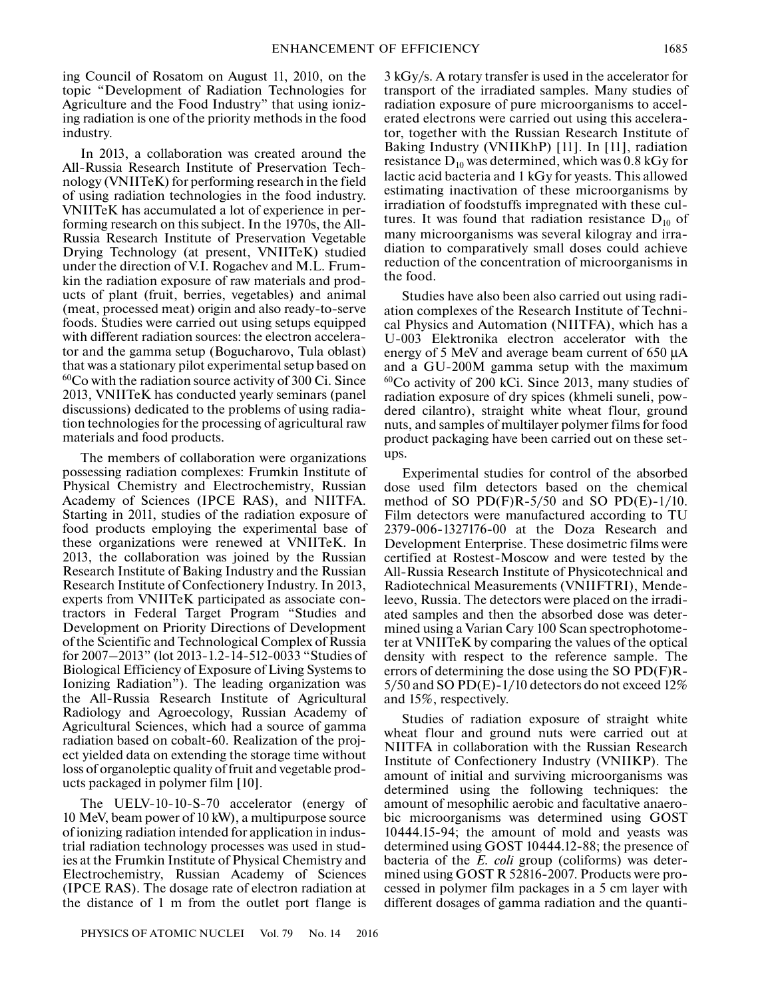ing Council of Rosatom on August 11, 2010, on the topic "Development of Radiation Technologies for Agriculture and the Food Industry" that using ionizing radiation is one of the priority methods in the food industry.

In 2013, a collaboration was created around the All-Russia Research Institute of Preservation Technology (VNIITeK) for performing research in the field of using radiation technologies in the food industry. VNIITeK has accumulated a lot of experience in performing research on this subject. In the 1970s, the All-Russia Research Institute of Preservation Vegetable Drying Technology (at present, VNIITeK) studied under the direction of V.I. Rogachev and M.L. Frumkin the radiation exposure of raw materials and products of plant (fruit, berries, vegetables) and animal (meat, processed meat) origin and also ready-to-serve foods. Studies were carried out using setups equipped with different radiation sources: the electron accelerator and the gamma setup (Bogucharovo, Tula oblast) that was a stationary pilot experimental setup based on  $60^{\circ}$ Co with the radiation source activity of 300 Ci. Since 2013, VNIITeK has conducted yearly seminars (panel discussions) dedicated to the problems of using radiation technologies for the processing of agricultural raw materials and food products.

The members of collaboration were organizations possessing radiation complexes: Frumkin Institute of Physical Chemistry and Electrochemistry, Russian Academy of Sciences (IPCE RAS), and NIITFA. Starting in 2011, studies of the radiation exposure of food products employing the experimental base of these organizations were renewed at VNIITeK. In 2013, the collaboration was joined by the Russian Research Institute of Baking Industry and the Russian Research Institute of Confectionery Industry. In 2013, experts from VNIITeK participated as associate contractors in Federal Target Program "Studies and Development on Priority Directions of Development of the Scientific and Technological Complex of Russia for 2007–2013" (lot 2013-1.2-14-512-0033 "Studies of Biological Efficiency of Exposure of Living Systems to Ionizing Radiation"). The leading organization was the All-Russia Research Institute of Agricultural Radiology and Agroecology, Russian Academy of Agricultural Sciences, which had a source of gamma radiation based on cobalt-60. Realization of the project yielded data on extending the storage time without loss of organoleptic quality of fruit and vegetable products packaged in polymer film [10].

The UELV-10-10-S-70 accelerator (energy of 10 MeV, beam power of 10 kW), a multipurpose source of ionizing radiation intended for application in industrial radiation technology processes was used in studies at the Frumkin Institute of Physical Chemistry and Electrochemistry, Russian Academy of Sciences (IPCE RAS). The dosage rate of electron radiation at the distance of 1 m from the outlet port flange is

3 kGy/s. A rotary transfer is used in the accelerator for transport of the irradiated samples. Many studies of radiation exposure of pure microorganisms to accelerated electrons were carried out using this accelerator, together with the Russian Research Institute of Baking Industry (VNIIKhP) [11]. In [11], radiation resistance  $D_{10}$  was determined, which was 0.8 kGy for lactic acid bacteria and 1 kGy for yeasts. This allowed estimating inactivation of these microorganisms by irradiation of foodstuffs impregnated with these cultures. It was found that radiation resistance  $D_{10}$  of many microorganisms was several kilogray and irradiation to comparatively small doses could achieve reduction of the concentration of microorganisms in the food.

Studies have also been also carried out using radiation complexes of the Research Institute of Technical Physics and Automation (NIITFA), which has a U-003 Elektronika electron accelerator with the energy of 5 MeV and average beam current of 650 μA and a GU-200M gamma setup with the maximum  $60$ Co activity of 200 kCi. Since 2013, many studies of radiation exposure of dry spices (khmeli suneli, powdered cilantro), straight white wheat flour, ground nuts, and samples of multilayer polymer films for food product packaging have been carried out on these setups.

Experimental studies for control of the absorbed dose used film detectors based on the chemical method of SO  $PD(F)R-5/50$  and SO  $PD(E)-1/10$ . Film detectors were manufactured according to TU 2379-006-1327176-00 at the Doza Research and Development Enterprise. These dosimetric films were certified at Rostest-Moscow and were tested by the All-Russia Research Institute of Physicotechnical and Radiotechnical Measurements (VNIIFTRI), Mendeleevo, Russia. The detectors were placed on the irradiated samples and then the absorbed dose was determined using a Varian Cary 100 Scan spectrophotometer at VNIITeK by comparing the values of the optical density with respect to the reference sample. The errors of determining the dose using the SO PD(F)R-5/50 and SO PD(E)-1/10 detectors do not exceed 12% and 15%, respectively.

Studies of radiation exposure of straight white wheat flour and ground nuts were carried out at NIITFA in collaboration with the Russian Research Institute of Confectionery Industry (VNIIKP). The amount of initial and surviving microorganisms was determined using the following techniques: the amount of mesophilic aerobic and facultative anaerobic microorganisms was determined using GOST 10444.15-94; the amount of mold and yeasts was determined using GOST 10444.12-88; the presence of bacteria of the *E. coli* group (coliforms) was determined using GOST R 52816-2007. Products were processed in polymer film packages in a 5 cm layer with different dosages of gamma radiation and the quanti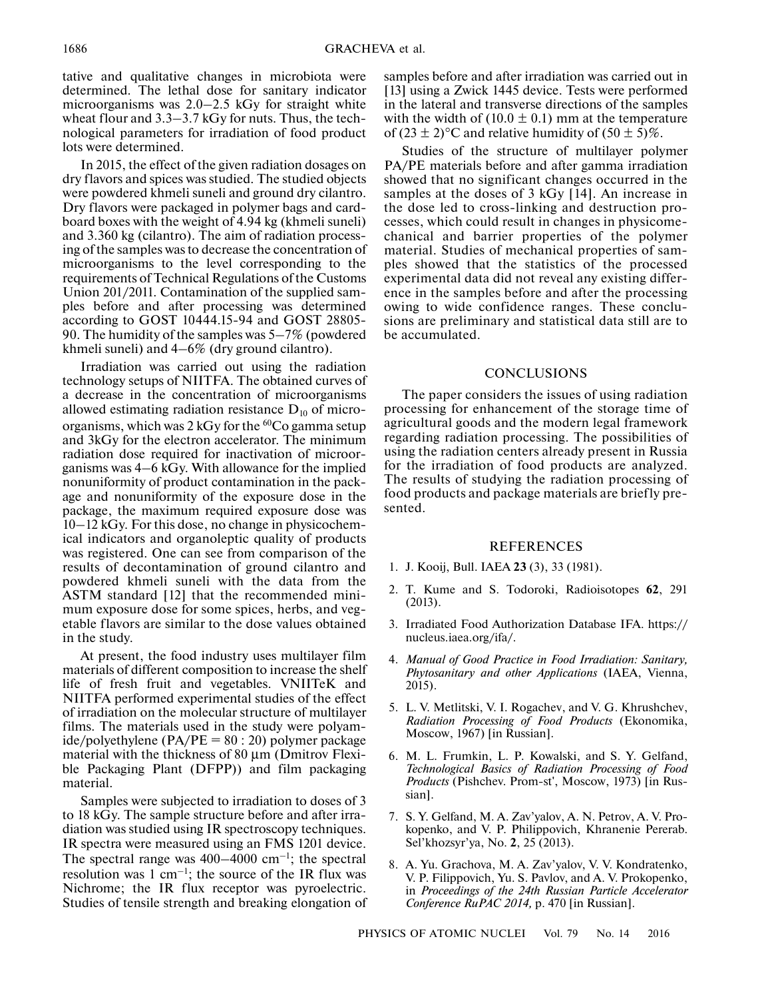tative and qualitative changes in microbiota were determined. The lethal dose for sanitary indicator microorganisms was 2.0–2.5 kGy for straight white wheat flour and 3.3–3.7 kGy for nuts. Thus, the technological parameters for irradiation of food product lots were determined.

In 2015, the effect of the given radiation dosages on dry flavors and spices was studied. The studied objects were powdered khmeli suneli and ground dry cilantro. Dry flavors were packaged in polymer bags and cardboard boxes with the weight of 4.94 kg (khmeli suneli) and 3.360 kg (cilantro). The aim of radiation processing of the samples was to decrease the concentration of microorganisms to the level corresponding to the requirements of Technical Regulations of the Customs Union 201/2011. Contamination of the supplied samples before and after processing was determined according to GOST 10444.15-94 and GOST 28805- 90. The humidity of the samples was 5–7% (powdered khmeli suneli) and 4–6% (dry ground cilantro).

Irradiation was carried out using the radiation technology setups of NIITFA. The obtained curves of a decrease in the concentration of microorganisms allowed estimating radiation resistance  $D_{10}$  of microorganisms, which was 2 kGy for the  ${}^{60}Co$  gamma setup and 3kGy for the electron accelerator. The minimum radiation dose required for inactivation of microorganisms was 4–6 kGy. With allowance for the implied nonuniformity of product contamination in the package and nonuniformity of the exposure dose in the package, the maximum required exposure dose was 10–12 kGy. For this dose, no change in physicochemical indicators and organoleptic quality of products was registered. One can see from comparison of the results of decontamination of ground cilantro and powdered khmeli suneli with the data from the ASTM standard [12] that the recommended minimum exposure dose for some spices, herbs, and vegetable flavors are similar to the dose values obtained in the study.

At present, the food industry uses multilayer film materials of different composition to increase the shelf life of fresh fruit and vegetables. VNIITeK and NIITFA performed experimental studies of the effect of irradiation on the molecular structure of multilayer films. The materials used in the study were polyamide/polyethylene ( $PA/PE = 80 : 20$ ) polymer package material with the thickness of 80 μm (Dmitrov Flexible Packaging Plant (DFPP)) and film packaging material.

Samples were subjected to irradiation to doses of 3 to 18 kGy. The sample structure before and after irradiation was studied using IR spectroscopy techniques. IR spectra were measured using an FMS 1201 device. The spectral range was  $400-4000$  cm<sup>-1</sup>; the spectral resolution was  $1 \text{ cm}^{-1}$ ; the source of the IR flux was Nichrome; the IR flux receptor was pyroelectric. Studies of tensile strength and breaking elongation of samples before and after irradiation was carried out in [13] using a Zwick 1445 device. Tests were performed in the lateral and transverse directions of the samples with the width of  $(10.0 \pm 0.1)$  mm at the temperature of  $(23 \pm 2)$ °C and relative humidity of  $(50 \pm 5)$ %.

Studies of the structure of multilayer polymer РА/РЕ materials before and after gamma irradiation showed that no significant changes occurred in the samples at the doses of 3 kGy [14]. An increase in the dose led to cross-linking and destruction processes, which could result in changes in physicomechanical and barrier properties of the polymer material. Studies of mechanical properties of samples showed that the statistics of the processed experimental data did not reveal any existing difference in the samples before and after the processing owing to wide confidence ranges. These conclusions are preliminary and statistical data still are to be accumulated.

## **CONCLUSIONS**

The paper considers the issues of using radiation processing for enhancement of the storage time of agricultural goods and the modern legal framework regarding radiation processing. The possibilities of using the radiation centers already present in Russia for the irradiation of food products are analyzed. The results of studying the radiation processing of food products and package materials are briefly presented.

#### REFERENCES

- 1. J. Kooij, Bull. IAEA **23** (3), 33 (1981).
- 2. T. Kume and S. Todoroki, Radioisotopes **62**, 291 (2013).
- 3. Irradiated Food Authorization Database IFA. https:// nucleus.iaea.org/ifa/.
- 4. *Manual of Good Practice in Food Irradiation: Sanitary, Phytosanitary and other Applications* (IAEA, Vienna, 2015).
- 5. L. V. Metlitski, V. I. Rogachev, and V. G. Khrushchev, *Radiation Processing of Food Products* (Ekonomika, Moscow, 1967) [in Russian].
- 6. M. L. Frumkin, L. P. Kowalski, and S. Y. Gelfand, *Technological Basics of Radiation Processing of Food Products* (Pishchev. Prom-st', Moscow, 1973) [in Russian].
- 7. S. Y. Gelfand, M. A. Zav'yalov, A. N. Petrov, A. V. Prokopenko, and V. P. Philippovich, Khranenie Pererab. Sel'khozsyr'ya, No. **2**, 25 (2013).
- 8. A. Yu. Grachova, M. A. Zav'yalov, V. V. Kondratenko, V. P. Filippovich, Yu. S. Pavlov, and A. V. Prokopenko, in *Proceedings of the 24th Russian Particle Accelerator Conference RuPAC 2014,* p. 470 [in Russian].

PHYSICS OF ATOMIC NUCLEI Vol. 79 No. 14 2016